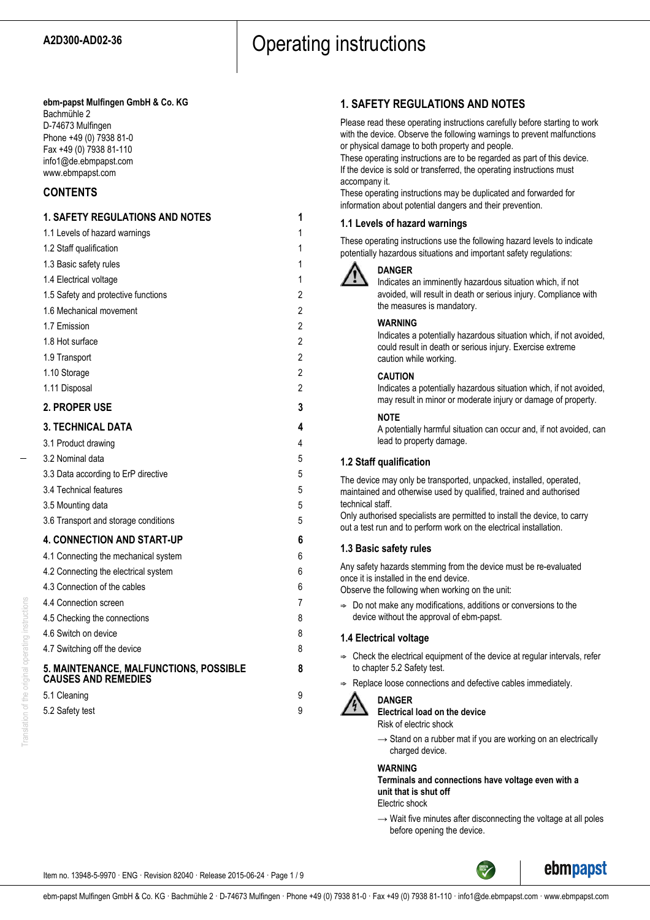## A2D300-AD02-36 **CODET CONTRACTER CONTROL** Operating instructions

#### **ebm-papst Mulfingen GmbH & Co. KG** Bachmühle 2

D-74673 Mulfingen Phone +49 (0) 7938 81-0 Fax +49 (0) 7938 81-110 info1@de.ebmpapst.com www.ebmpapst.com

## **CONTENTS**

## **1. SAFETY REGULATIONS AND NOTES 1** 1.1 Levels of hazard warnings 1 1.2 Staff qualification 1 1.3 Basic safety rules 1 1.4 Electrical voltage 1 1.5 Safety and protective functions 2 1.6 Mechanical movement 2 1.7 Emission 2 1.8 Hot surface 2 1.9 Transport 2 1.10 Storage 2 1.11 Disposal 2 **2. PROPER USE 3 3. TECHNICAL DATA 4** 3.1 Product drawing 4 3.2 Nominal data 5 3.3 Data according to ErP directive 5 3.4 Technical features 5 3.5 Mounting data 5 3.6 Transport and storage conditions 5 **4. CONNECTION AND START-UP 6** 4.1 Connecting the mechanical system 6 4.2 Connecting the electrical system 6 4.3 Connection of the cables 6 4.4 Connection screen 7 4.5 Checking the connections 8 4.6 Switch on device 8 4.7 Switching off the device 8 **5. MAINTENANCE, MALFUNCTIONS, POSSIBLE 8 CAUSES AND REMEDIES** 5.1 Cleaning 9 5.2 Safety test 9

## **1. SAFETY REGULATIONS AND NOTES**

Please read these operating instructions carefully before starting to work with the device. Observe the following warnings to prevent malfunctions or physical damage to both property and people.

These operating instructions are to be regarded as part of this device. If the device is sold or transferred, the operating instructions must accompany it.

These operating instructions may be duplicated and forwarded for information about potential dangers and their prevention.

## **1.1 Levels of hazard warnings**

These operating instructions use the following hazard levels to indicate potentially hazardous situations and important safety regulations:



## **DANGER**

Indicates an imminently hazardous situation which, if not avoided, will result in death or serious injury. Compliance with the measures is mandatory.

## **WARNING**

Indicates a potentially hazardous situation which, if not avoided, could result in death or serious injury. Exercise extreme caution while working.

## **CAUTION**

Indicates a potentially hazardous situation which, if not avoided, may result in minor or moderate injury or damage of property.

#### **NOTE**

A potentially harmful situation can occur and, if not avoided, can lead to property damage.

## **1.2 Staff qualification**

The device may only be transported, unpacked, installed, operated, maintained and otherwise used by qualified, trained and authorised technical staff.

Only authorised specialists are permitted to install the device, to carry out a test run and to perform work on the electrical installation.

## **1.3 Basic safety rules**

Any safety hazards stemming from the device must be re-evaluated once it is installed in the end device.

Observe the following when working on the unit:

 $\Rightarrow$  Do not make any modifications, additions or conversions to the device without the approval of ebm-papst.

## **1.4 Electrical voltage**

- $\Rightarrow$  Check the electrical equipment of the device at regular intervals, refer to chapter 5.2 Safety test.
- Replace loose connections and defective cables immediately.



## **DANGER**

**Electrical load on the device**

- Risk of electric shock
- $\rightarrow$  Stand on a rubber mat if you are working on an electrically charged device.

#### **WARNING**

**Terminals and connections have voltage even with a unit that is shut off**

Electric shock

 $\rightarrow$  Wait five minutes after disconnecting the voltage at all poles before opening the device.

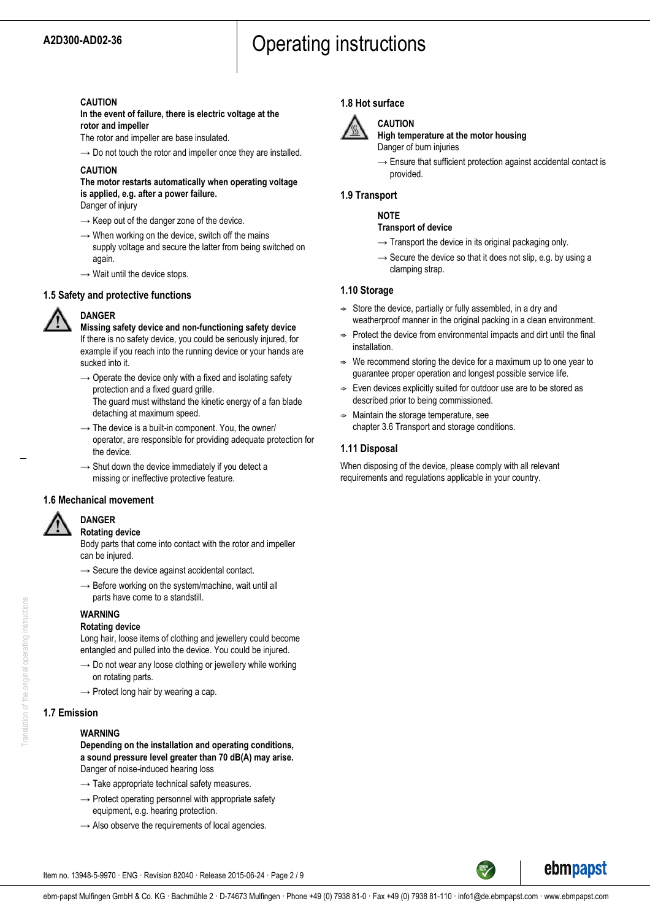# A2D300-AD02-36 **CODET CONTRACTER CONTROL** Operating instructions

#### **CAUTION**

**In the event of failure, there is electric voltage at the rotor and impeller**

The rotor and impeller are base insulated.

 $\rightarrow$  Do not touch the rotor and impeller once they are installed.

### **CAUTION**

## **The motor restarts automatically when operating voltage is applied, e.g. after a power failure.**

Danger of injury

- $\rightarrow$  Keep out of the danger zone of the device.
- $\rightarrow$  When working on the device, switch off the mains supply voltage and secure the latter from being switched on again.
- $\rightarrow$  Wait until the device stops.

## **1.5 Safety and protective functions**



**DANGER**

**Missing safety device and non-functioning safety device** If there is no safety device, you could be seriously injured, for example if you reach into the running device or your hands are sucked into it.

- $\rightarrow$  Operate the device only with a fixed and isolating safety protection and a fixed guard grille. The guard must withstand the kinetic energy of a fan blade detaching at maximum speed.
- $\rightarrow$  The device is a built-in component. You, the owner/ operator, are responsible for providing adequate protection for the device.
- $\rightarrow$  Shut down the device immediately if you detect a missing or ineffective protective feature.

#### **1.6 Mechanical movement**



#### **DANGER Rotating device**

Body parts that come into contact with the rotor and impeller can be injured.

- $\rightarrow$  Secure the device against accidental contact.
- $\rightarrow$  Before working on the system/machine, wait until all parts have come to a standstill.

#### **WARNING Rotating device**

Long hair, loose items of clothing and jewellery could become entangled and pulled into the device. You could be injured.

- $\rightarrow$  Do not wear any loose clothing or jewellery while working on rotating parts.
- $\rightarrow$  Protect long hair by wearing a cap.

## **1.7 Emission**

#### **WARNING**

**Depending on the installation and operating conditions, a sound pressure level greater than 70 dB(A) may arise.** Danger of noise-induced hearing loss

- $\rightarrow$  Take appropriate technical safety measures.
- $\rightarrow$  Protect operating personnel with appropriate safety equipment, e.g. hearing protection.
- $\rightarrow$  Also observe the requirements of local agencies.

## **1.8 Hot surface**



## **CAUTION**

**High temperature at the motor housing** Danger of burn injuries

 $\rightarrow$  Ensure that sufficient protection against accidental contact is provided.

## **1.9 Transport**

### **NOTE**

#### **Transport of device**

- $\rightarrow$  Transport the device in its original packaging only.
- $\rightarrow$  Secure the device so that it does not slip, e.g. by using a clamping strap.

## **1.10 Storage**

- $\Rightarrow$  Store the device, partially or fully assembled, in a dry and weatherproof manner in the original packing in a clean environment.
- $\Rightarrow$  Protect the device from environmental impacts and dirt until the final installation.
- We recommend storing the device for a maximum up to one year to guarantee proper operation and longest possible service life.
- $\Rightarrow$  Even devices explicitly suited for outdoor use are to be stored as described prior to being commissioned.
- $\Rightarrow$  Maintain the storage temperature, see chapter 3.6 Transport and storage conditions.

## **1.11 Disposal**

When disposing of the device, please comply with all relevant requirements and regulations applicable in your country.

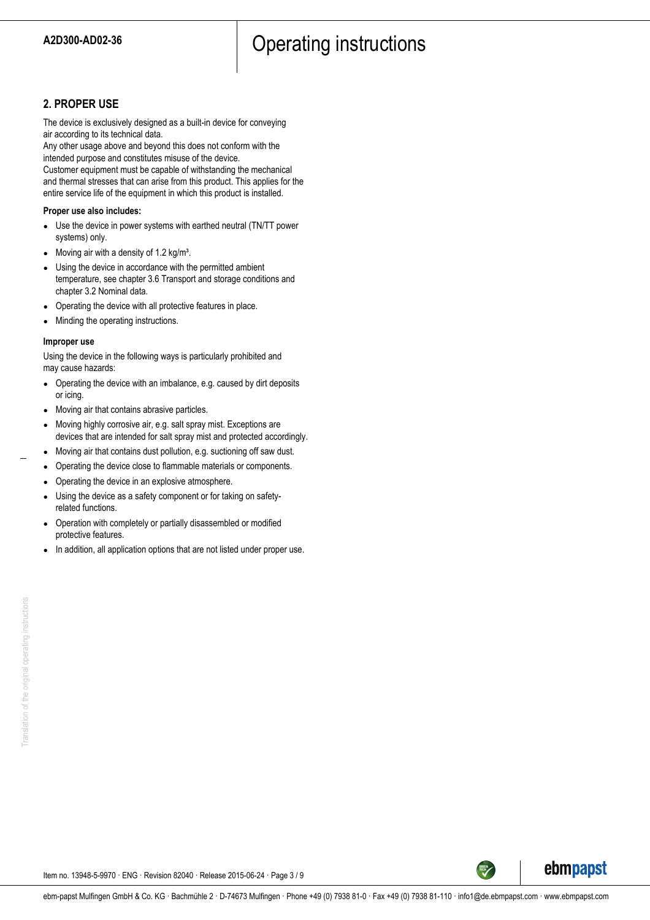# A2D300-AD02-36 **A2D300-AD02-36 A2D300-AD02-36**

## **2. PROPER USE**

The device is exclusively designed as a built-in device for conveying air according to its technical data.

Any other usage above and beyond this does not conform with the intended purpose and constitutes misuse of the device.

Customer equipment must be capable of withstanding the mechanical and thermal stresses that can arise from this product. This applies for the entire service life of the equipment in which this product is installed.

#### **Proper use also includes:**

- Use the device in power systems with earthed neutral (TN/TT power systems) only.
- Moving air with a density of 1.2 kg/m<sup>3</sup>.
- Using the device in accordance with the permitted ambient temperature, see chapter 3.6 Transport and storage conditions and chapter 3.2 Nominal data.
- Operating the device with all protective features in place.
- Minding the operating instructions.

#### **Improper use**

Using the device in the following ways is particularly prohibited and may cause hazards:

- Operating the device with an imbalance, e.g. caused by dirt deposits or icing.
- Moving air that contains abrasive particles.
- Moving highly corrosive air, e.g. salt spray mist. Exceptions are devices that are intended for salt spray mist and protected accordingly.
- Moving air that contains dust pollution, e.g. suctioning off saw dust.
- Operating the device close to flammable materials or components.
- Operating the device in an explosive atmosphere.
- Using the device as a safety component or for taking on safetyrelated functions.
- Operation with completely or partially disassembled or modified protective features.
- In addition, all application options that are not listed under proper use.

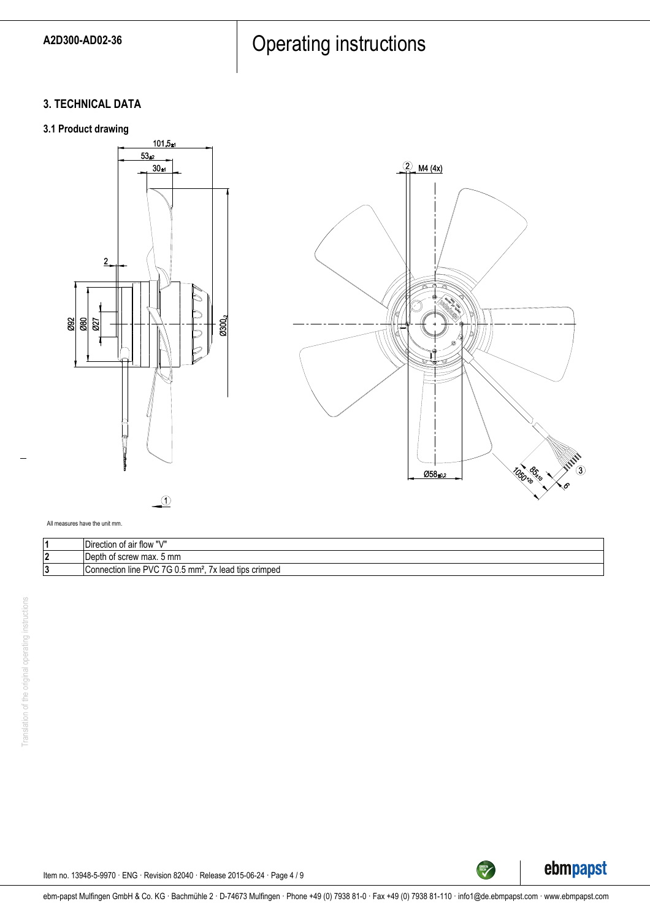# A2D300-AD02-36 **CONFIDENTI** Operating instructions

## **3. TECHNICAL DATA**

## **3.1 Product drawing**



 $\Theta$ 



All measures have the unit mm.

| $III$ /II<br>IDirection of air flow                              |
|------------------------------------------------------------------|
| t screw max. 5 mm<br>∣Depth<br>ושו                               |
| Connection line PVC<br>⇁<br>mm<br>x lead tips crimped<br>$\cdot$ |



TECH

Item no. 13948-5-9970 · ENG · Revision 82040 · Release 2015-06-24 · Page 4 / 9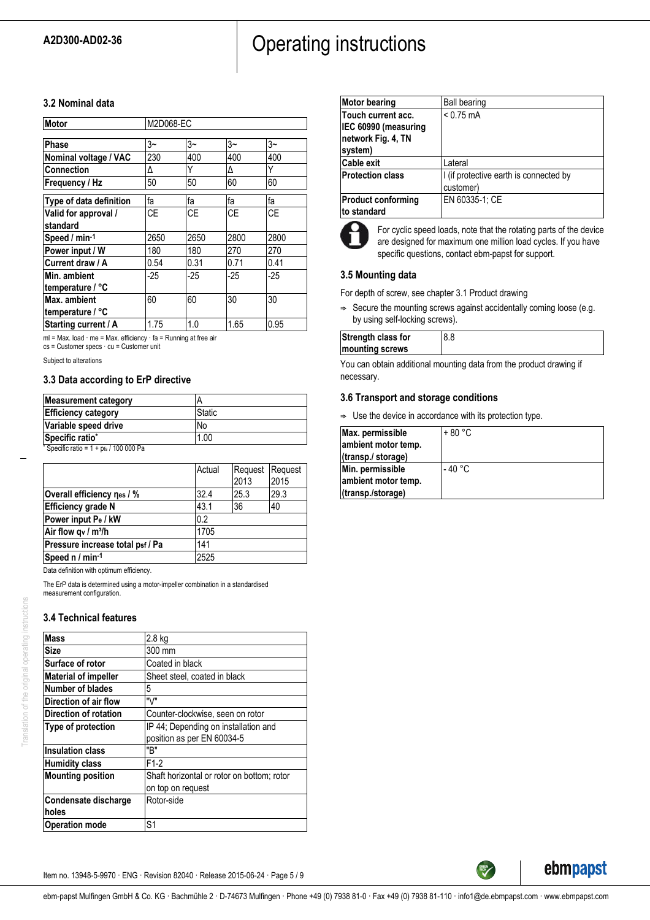# A2D300-AD02-36 **CONFIDENTI** Operating instructions

### **3.2 Nominal data**

| Motor                   | M2D068-EC |       |      |       |
|-------------------------|-----------|-------|------|-------|
| Phase                   | $3-$      | $3-$  | $3-$ | $3-$  |
| Nominal voltage / VAC   | 230       | 400   | 400  | 400   |
| <b>Connection</b>       | Δ         | Υ     | Δ    | Υ     |
| Frequency / Hz          | 50        | 50    | 60   | 60    |
| Type of data definition | fa        | fa    | fa   | fa    |
| Valid for approval /    | СE        | СE    | СE   | СE    |
| standard                |           |       |      |       |
| Speed / min-1           | 2650      | 2650  | 2800 | 2800  |
| Power input / W         | 180       | 180   | 270  | 270   |
| Current draw / A        | 0.54      | 0.31  | 0.71 | 0.41  |
| Min. ambient            | $-25$     | $-25$ | -25  | $-25$ |
| temperature / °C        |           |       |      |       |
| Max. ambient            | 60        | 60    | 30   | 30    |
| temperature / °C        |           |       |      |       |
| Starting current / A    | 1.75      | 1.0   | 1.65 | 0.95  |

ml = Max. load · me = Max. efficiency · fa = Running at free air

cs = Customer specs · cu = Customer unit

Subject to alterations

#### **3.3 Data according to ErP directive**

| <b>Static</b> |
|---------------|
| No            |
| 1.00          |
|               |

Specific ratio =  $1 + p$ fs / 100 000 Pa

|                                  | Actual | Request<br>2013 | Request<br>2015 |
|----------------------------------|--------|-----------------|-----------------|
| Overall efficiency nes / %       | 32.4   | 25.3            | 29.3            |
| <b>Efficiency grade N</b>        | 43.1   | 36              | 40              |
| Power input Pe / kW              | 0.2    |                 |                 |
| Air flow $q_v / m^3/h$           | 1705   |                 |                 |
| Pressure increase total psf / Pa | 141    |                 |                 |
| Speed n / min-1                  | 2525   |                 |                 |

Data definition with optimum efficiency.

The ErP data is determined using a motor-impeller combination in a standardised measurement configuration.

## **3.4 Technical features**

Translation of the original operating instructions

Translation of the original operating instructions

| <b>Mass</b>                 | $2.8$ kg                                   |  |
|-----------------------------|--------------------------------------------|--|
| <b>Size</b>                 | 300 mm                                     |  |
| Surface of rotor            | Coated in black                            |  |
| <b>Material of impeller</b> | Sheet steel, coated in black               |  |
| Number of blades            | 5                                          |  |
| Direction of air flow       | "\/"                                       |  |
| Direction of rotation       | Counter-clockwise, seen on rotor           |  |
| Type of protection          | IP 44; Depending on installation and       |  |
|                             | position as per EN 60034-5                 |  |
| <b>Insulation class</b>     | "B"                                        |  |
| <b>Humidity class</b>       | $F1-2$                                     |  |
| <b>Mounting position</b>    | Shaft horizontal or rotor on bottom; rotor |  |
|                             | on top on request                          |  |
| Condensate discharge        | Rotor-side                                 |  |
| holes                       |                                            |  |
| <b>Operation mode</b>       | S <sub>1</sub>                             |  |

| <b>Motor bearing</b>                                                        | <b>Ball bearing</b>                                 |
|-----------------------------------------------------------------------------|-----------------------------------------------------|
| Touch current acc.<br>IEC 60990 (measuring<br>network Fig. 4, TN<br>system) | $< 0.75$ mA                                         |
| <b>Cable exit</b>                                                           | Lateral                                             |
| <b>Protection class</b>                                                     | I (if protective earth is connected by<br>customer) |
| <b>Product conforming</b><br>to standard                                    | EN 60335-1; CE                                      |



For cyclic speed loads, note that the rotating parts of the device are designed for maximum one million load cycles. If you have specific questions, contact ebm-papst for support.

## **3.5 Mounting data**

For depth of screw, see chapter 3.1 Product drawing

 $\Rightarrow$  Secure the mounting screws against accidentally coming loose (e.g. by using self-locking screws).

| Strength class for | o.o |
|--------------------|-----|
| mounting screws    |     |

You can obtain additional mounting data from the product drawing if necessary.

## **3.6 Transport and storage conditions**

 $\Rightarrow$  Use the device in accordance with its protection type.

| Max. permissible    | '+ 80 °C |
|---------------------|----------|
| ambient motor temp. |          |
| (transp./ storage)  |          |
| Min. permissible    | - 40 °C  |
| ambient motor temp. |          |
| (transp./storage)   |          |

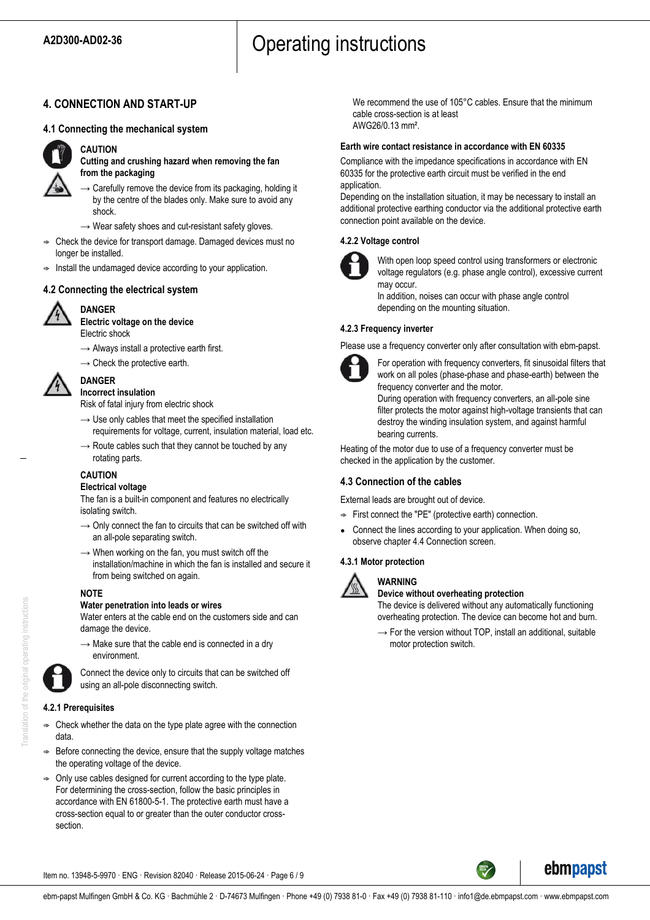# A2D300-AD02-36 **A2D300-AD02-36 A2D300-AD02-36**

## **4. CONNECTION AND START-UP**

#### **4.1 Connecting the mechanical system**



### **CAUTION**

**Cutting and crushing hazard when removing the fan from the packaging**

- $\rightarrow$  Carefully remove the device from its packaging, holding it by the centre of the blades only. Make sure to avoid any shock.
- $\rightarrow$  Wear safety shoes and cut-resistant safety gloves.
- ; Check the device for transport damage. Damaged devices must no longer be installed.
- $\Rightarrow$  Install the undamaged device according to your application.

## **4.2 Connecting the electrical system**



#### **DANGER Electric voltage on the device**

Electric shock

- $\rightarrow$  Always install a protective earth first.
- $\rightarrow$  Check the protective earth.



#### **DANGER Incorrect insulation**

Risk of fatal injury from electric shock

- $\rightarrow$  Use only cables that meet the specified installation requirements for voltage, current, insulation material, load etc.
- $\rightarrow$  Route cables such that they cannot be touched by any rotating parts.

## **CAUTION**

#### **Electrical voltage**

The fan is a built-in component and features no electrically isolating switch.

- $\rightarrow$  Only connect the fan to circuits that can be switched off with an all-pole separating switch.
- $\rightarrow$  When working on the fan, you must switch off the installation/machine in which the fan is installed and secure it from being switched on again.

#### **NOTE**

#### **Water penetration into leads or wires**

Water enters at the cable end on the customers side and can damage the device.

 $\rightarrow$  Make sure that the cable end is connected in a dry environment.



Connect the device only to circuits that can be switched off using an all-pole disconnecting switch.

## **4.2.1 Prerequisites**

- $\Rightarrow$  Check whether the data on the type plate agree with the connection data.
- Before connecting the device, ensure that the supply voltage matches the operating voltage of the device.
- ; Only use cables designed for current according to the type plate. For determining the cross-section, follow the basic principles in accordance with EN 61800-5-1. The protective earth must have a cross-section equal to or greater than the outer conductor crosssection.

We recommend the use of 105°C cables. Ensure that the minimum cable cross-section is at least AWG26/0.13 mm².

#### **Earth wire contact resistance in accordance with EN 60335**

Compliance with the impedance specifications in accordance with EN 60335 for the protective earth circuit must be verified in the end application.

Depending on the installation situation, it may be necessary to install an additional protective earthing conductor via the additional protective earth connection point available on the device.

## **4.2.2 Voltage control**



With open loop speed control using transformers or electronic voltage regulators (e.g. phase angle control), excessive current may occur.

In addition, noises can occur with phase angle control depending on the mounting situation.

#### **4.2.3 Frequency inverter**

Please use a frequency converter only after consultation with ebm-papst.



For operation with frequency converters, fit sinusoidal filters that work on all poles (phase-phase and phase-earth) between the frequency converter and the motor.

During operation with frequency converters, an all-pole sine filter protects the motor against high-voltage transients that can destroy the winding insulation system, and against harmful bearing currents.

Heating of the motor due to use of a frequency converter must be checked in the application by the customer.

## **4.3 Connection of the cables**

External leads are brought out of device.

- $\Rightarrow$  First connect the "PE" (protective earth) connection.
- Connect the lines according to your application. When doing so, observe chapter 4.4 Connection screen.

#### **4.3.1 Motor protection**



**WARNING**

## **Device without overheating protection**

The device is delivered without any automatically functioning overheating protection. The device can become hot and burn.

 $\rightarrow$  For the version without TOP, install an additional, suitable motor protection switch.



ebmpapst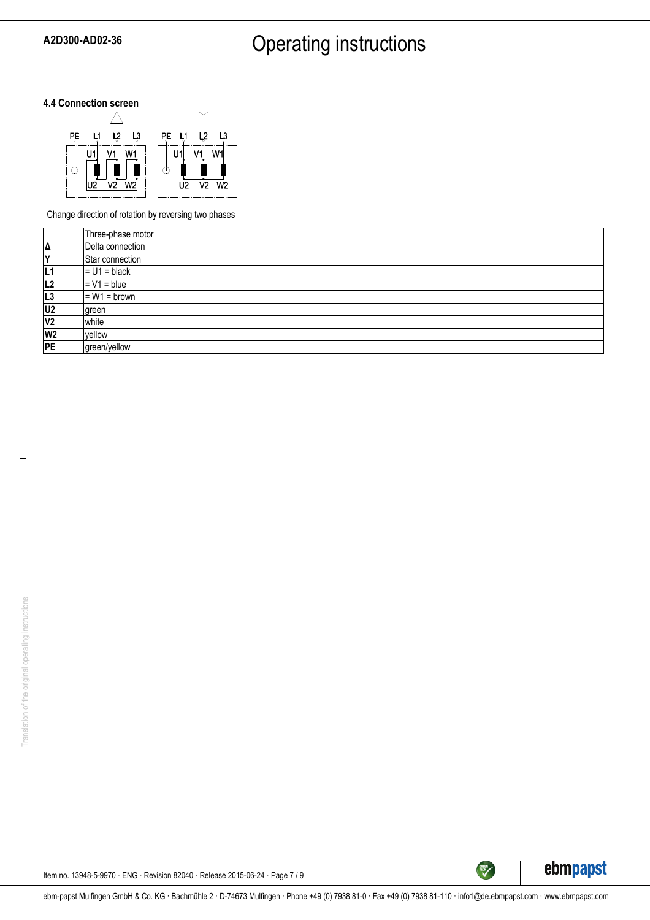# A2D300-AD02-36 **Operating instructions**

## **4.4 Connection screen**



Change direction of rotation by reversing two phases

|                | Three-phase motor |
|----------------|-------------------|
| Δ              | Delta connection  |
| v              | Star connection   |
| L1             | $= U1 = black$    |
| L2             | $= V1 = blue$     |
| L <sub>3</sub> | $= W1 = brown$    |
| U2             | green             |
| V <sub>2</sub> | <b>white</b>      |
| W <sub>2</sub> | vellow            |
| PE             | green/yellow      |



TECH

Item no. 13948-5-9970 · ENG · Revision 82040 · Release 2015-06-24 · Page 7 / 9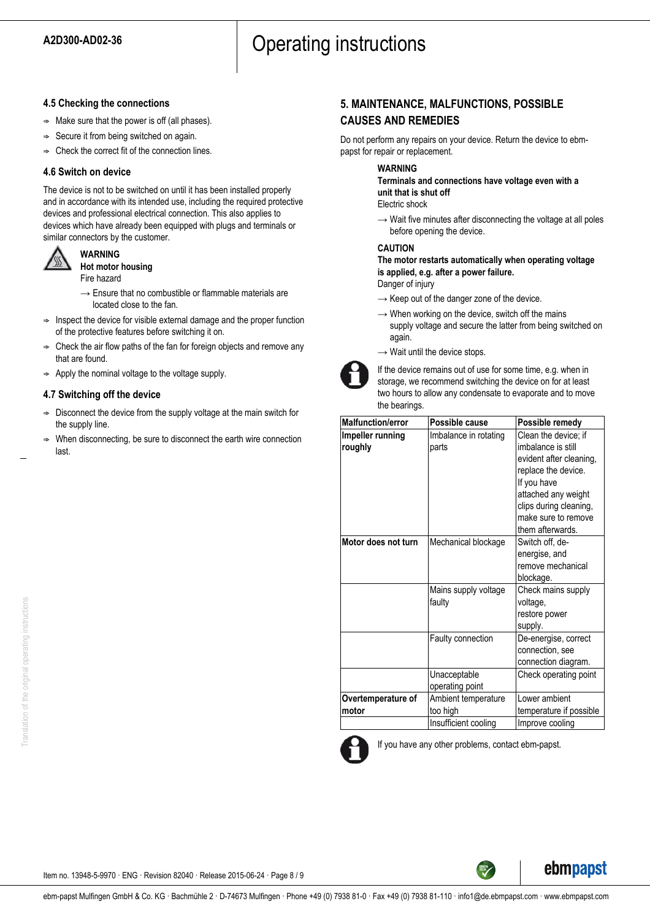# A2D300-AD02-36 **A2D300-AD02-36 A2D300-AD02-36**

### **4.5 Checking the connections**

- $\Rightarrow$  Make sure that the power is off (all phases).
- $\Rightarrow$  Secure it from being switched on again.
- $\Rightarrow$  Check the correct fit of the connection lines.

## **4.6 Switch on device**

The device is not to be switched on until it has been installed properly and in accordance with its intended use, including the required protective devices and professional electrical connection. This also applies to devices which have already been equipped with plugs and terminals or similar connectors by the customer.



**WARNING Hot motor housing** Fire hazard

- $\rightarrow$  Ensure that no combustible or flammable materials are located close to the fan.
- $\Rightarrow$  Inspect the device for visible external damage and the proper function of the protective features before switching it on.
- $\Rightarrow$  Check the air flow paths of the fan for foreign objects and remove any that are found.
- $\Rightarrow$  Apply the nominal voltage to the voltage supply.

## **4.7 Switching off the device**

- $\Rightarrow$  Disconnect the device from the supply voltage at the main switch for the supply line.
- ; When disconnecting, be sure to disconnect the earth wire connection last.

## **5. MAINTENANCE, MALFUNCTIONS, POSSIBLE CAUSES AND REMEDIES**

Do not perform any repairs on your device. Return the device to ebmpapst for repair or replacement.

#### **WARNING**

**Terminals and connections have voltage even with a unit that is shut off**

Electric shock

 $\rightarrow$  Wait five minutes after disconnecting the voltage at all poles before opening the device.

#### **CAUTION**

**The motor restarts automatically when operating voltage is applied, e.g. after a power failure.**

Danger of injury

- $\rightarrow$  Keep out of the danger zone of the device.
- $\rightarrow$  When working on the device, switch off the mains supply voltage and secure the latter from being switched on again.
- $\rightarrow$  Wait until the device stops.



If the device remains out of use for some time, e.g. when in storage, we recommend switching the device on for at least two hours to allow any condensate to evaporate and to move the bearings.

| <b>Malfunction/error</b>    | Possible cause                                          | Possible remedy                                                                                                                                                                                         |
|-----------------------------|---------------------------------------------------------|---------------------------------------------------------------------------------------------------------------------------------------------------------------------------------------------------------|
| Impeller running<br>roughly | Imbalance in rotating<br>parts                          | Clean the device; if<br>imbalance is still<br>evident after cleaning,<br>replace the device.<br>If you have<br>attached any weight<br>clips during cleaning,<br>make sure to remove<br>them afterwards. |
| Motor does not turn         | Mechanical blockage                                     | Switch off, de-<br>energise, and<br>remove mechanical<br>blockage.                                                                                                                                      |
|                             | Mains supply voltage<br>faulty                          | Check mains supply<br>voltage,<br>restore power<br>supply.                                                                                                                                              |
|                             | Faulty connection                                       | De-energise, correct<br>connection, see<br>connection diagram.                                                                                                                                          |
|                             | Unacceptable<br>operating point                         | Check operating point                                                                                                                                                                                   |
| Overtemperature of<br>motor | Ambient temperature<br>too high<br>Insufficient cooling | I ower ambient<br>temperature if possible<br>Improve cooling                                                                                                                                            |



If you have any other problems, contact ebm-papst.



Translation of the original operating instructions Translation of the original operating instructions

ebm-papst Mulfingen GmbH & Co. KG · Bachmühle 2 · D-74673 Mulfingen · Phone +49 (0) 7938 81-0 · Fax +49 (0) 7938 81-110 · info1@de.ebmpapst.com · www.ebmpapst.com